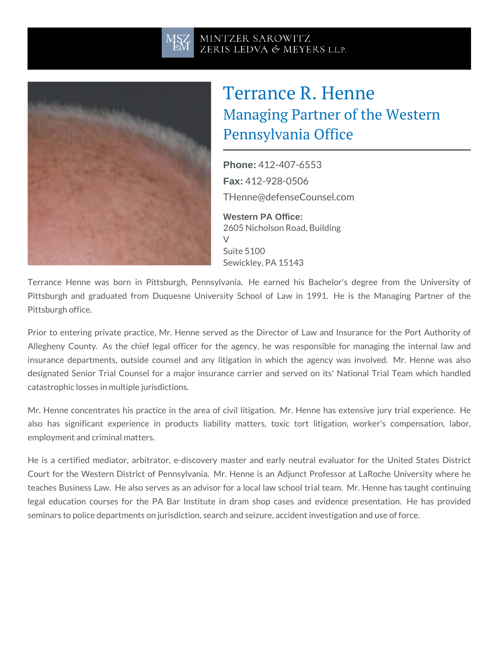## Terrance R. Henne Managing Partner of the W Pennsylvania Office

Phone: [412-407-](tel:+1-412-407-6553)6553 Fax: 412-928-0506 [THenne@defenseCo](mailto:THenne@defenseCounsel.com)unsel.com Western PA Office: 2605 Nicholson Road, Building  $\sqrt{}$ 

Suite 5100 Sewickley, PA 15143

Terrance Henne was born in Pittsburgh, Pennsylvania. He earned his Pittsburgh and graduated from Duquesne University School of Law in 1 Pittsburgh office.

Prior to entering private practice, Mr. Henne served as the Director of L Allegheny County. As the chief legal officer for the agency, he was re insurance departments, outside counsel and any litigation in which the designated Senior Trial Counsel for a major insurance carrier and served catastrophic losses in multiple jurisdictions.

Mr. Henne concentrates his practice in the area of civil litigation. Mr. H also has significant experience in products liability matters, toxic to employment and criminal matters.

He is a certified mediator, arbitrator, e-discovery master and early neut Court for the Western District of Pennsylvania. Mr. Henne is an Adjunct teaches Business Law. He also serves as an advisor for a local law schoo legal education courses for the PA Bar Institute in dram shop cases a seminars to police departments on jurisdiction, search and seizure, accident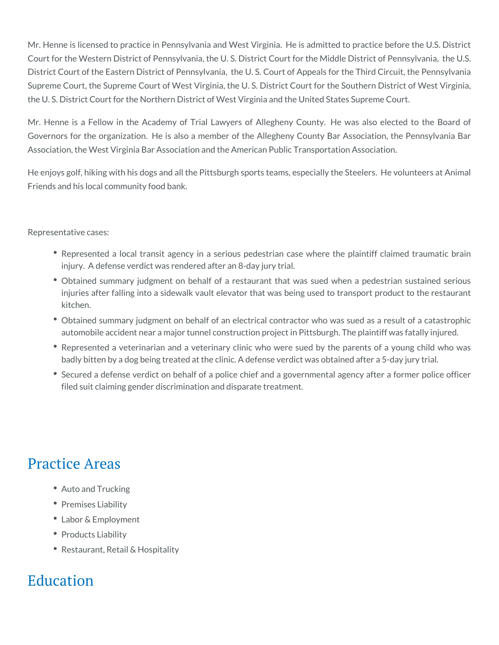Mr. Henne is licensed to practice in Pennsylvania and West Virginia. He is admitted to practice before the U.S. District Court for the Western District of Pennsylvania, the U. S. District Court for the Middle District of Pennsylvania, the U.S. District Court of the Eastern District of Pennsylvania, the U. S. Court of Appeals for the Third Circuit, the Pennsylvania Supreme Court, the Supreme Court of West Virginia, the U. S. District Court for the Southern District of West Virginia, the U. S. District Court for the Northern District of West Virginia and the United States Supreme Court.

Mr. Henne is a Fellow in the Academy of Trial Lawyers of Allegheny County. He was also elected to the Board of Governors for the organization. He is also a member of the Allegheny County Bar Association, the Pennsylvania Bar Association, the West Virginia Bar Association and the American Public Transportation Association.

He enjoys golf, hiking with his dogs and all the Pittsburgh sports teams, especially the Steelers. He volunteers at Animal Friends and his local community food bank.

Representative cases:

- Represented a local transit agency in a serious pedestrian case where the plaintiff claimed traumatic brain injury. A defense verdict was rendered after an 8-day jury trial.
- Obtained summary judgment on behalf of a restaurant that was sued when a pedestrian sustained serious injuries after falling into a sidewalk vault elevator that was being used to transport product to the restaurant kitchen.
- Obtained summary judgment on behalf of an electrical contractor who was sued as a result of a catastrophic automobile accident near a major tunnel construction project in Pittsburgh. The plaintiff was fatally injured.
- Represented a veterinarian and a veterinary clinic who were sued by the parents of a young child who was badly bitten by a dog being treated at the clinic. A defense verdict was obtained after a 5-day jury trial.
- Secured a defense verdict on behalf of a police chief and a governmental agency after a former police officer filed suit claiming gender discrimination and disparate treatment.

## Practice Areas

- Auto and Trucking
- Premises Liability
- Labor & Employment
- Products Liability
- Restaurant, Retail & Hospitality

## Education